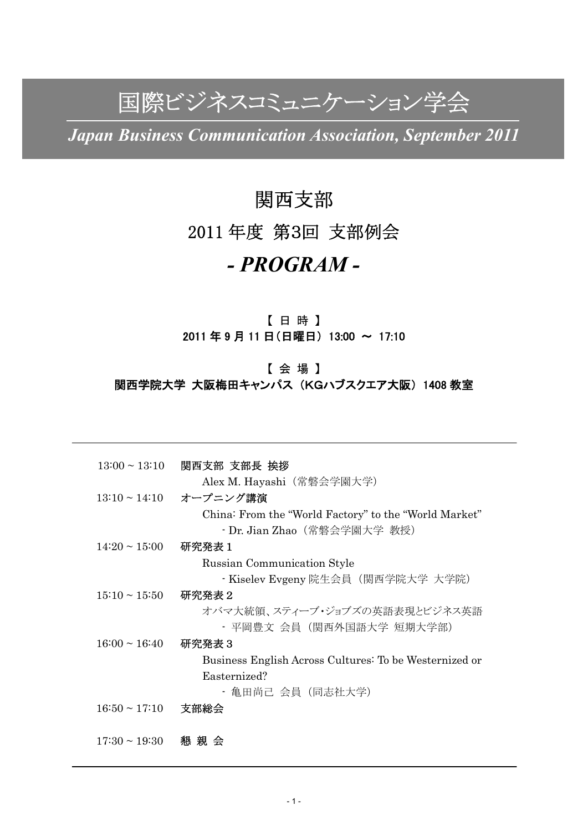# 国際ビジネスコミュニケーション学会

*Japan Business Communication Association, September 2011* 

## 関西支部

## 2011 年度 第3回 支部例会

## *- PROGRAM -*

### 【 日 時 】 2011 年 9 月 11 日(日曜日) 13:00 ~ 17:10

### 【 会 場 】 関西学院大学 大阪梅田キャンパス (KGハブスクエア大阪) 1408 教室

|                    | 13:00~13:10  関西支部 支部長 挨拶                               |
|--------------------|--------------------------------------------------------|
|                    | Alex M. Hayashi (常磐会学園大学)                              |
|                    | 13:10~14:10 オープニング講演                                   |
|                    | China: From the "World Factory" to the "World Market"  |
|                    | • Dr. Jian Zhao (常磐会学園大学 教授)                           |
| $14:20 \sim 15:00$ | 研究発表1                                                  |
|                    | Russian Communication Style                            |
|                    | ・Kiselev Evgeny 院生会員(関西学院大学 大学院)                       |
| $15:10 \sim 15:50$ | 研究発表 2                                                 |
|                    | オバマ大統領、スティーブ・ジョブズの英語表現とビジネス英語                          |
|                    | ・ 平岡豊文 会員 (関西外国語大学 短期大学部)                              |
| $16:00 \sim 16:40$ | 研究発表 3                                                 |
|                    | Business English Across Cultures: To be Westernized or |
|                    | Easternized?                                           |
|                    | ・ 亀田尚己 会員 (同志社大学)                                      |
| $16:50 \sim 17:10$ | 支部総会                                                   |
|                    |                                                        |
| $17:30 \sim 19:30$ | 懇 親 会                                                  |
|                    |                                                        |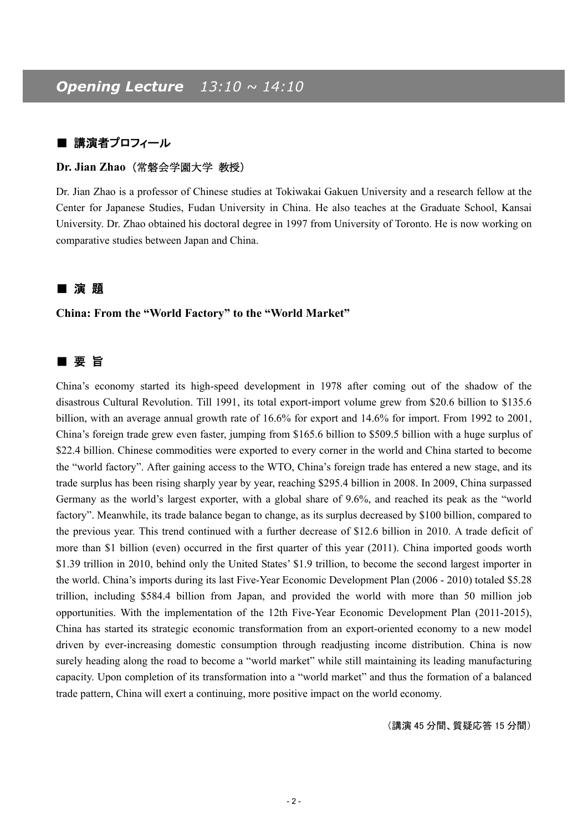#### ■ 講演者プロフィール

#### **Dr. Jian Zhao**(常磐会学園大学 教授)

Dr. Jian Zhao is a professor of Chinese studies at Tokiwakai Gakuen University and a research fellow at the Center for Japanese Studies, Fudan University in China. He also teaches at the Graduate School, Kansai University. Dr. Zhao obtained his doctoral degree in 1997 from University of Toronto. He is now working on comparative studies between Japan and China.

#### ■ 演 題

**China: From the "World Factory" to the "World Market"** 

### ■ 要旨

China's economy started its high-speed development in 1978 after coming out of the shadow of the disastrous Cultural Revolution. Till 1991, its total export-import volume grew from \$20.6 billion to \$135.6 billion, with an average annual growth rate of 16.6% for export and 14.6% for import. From 1992 to 2001, China's foreign trade grew even faster, jumping from \$165.6 billion to \$509.5 billion with a huge surplus of \$22.4 billion. Chinese commodities were exported to every corner in the world and China started to become the "world factory". After gaining access to the WTO, China's foreign trade has entered a new stage, and its trade surplus has been rising sharply year by year, reaching \$295.4 billion in 2008. In 2009, China surpassed Germany as the world's largest exporter, with a global share of 9.6%, and reached its peak as the "world factory". Meanwhile, its trade balance began to change, as its surplus decreased by \$100 billion, compared to the previous year. This trend continued with a further decrease of \$12.6 billion in 2010. A trade deficit of more than \$1 billion (even) occurred in the first quarter of this year (2011). China imported goods worth \$1.39 trillion in 2010, behind only the United States' \$1.9 trillion, to become the second largest importer in the world. China's imports during its last Five-Year Economic Development Plan (2006 - 2010) totaled \$5.28 trillion, including \$584.4 billion from Japan, and provided the world with more than 50 million job opportunities. With the implementation of the 12th Five-Year Economic Development Plan (2011-2015), China has started its strategic economic transformation from an export-oriented economy to a new model driven by ever-increasing domestic consumption through readjusting income distribution. China is now surely heading along the road to become a "world market" while still maintaining its leading manufacturing capacity. Upon completion of its transformation into a "world market" and thus the formation of a balanced trade pattern, China will exert a continuing, more positive impact on the world economy.

(講演 45 分間、質疑応答 15 分間)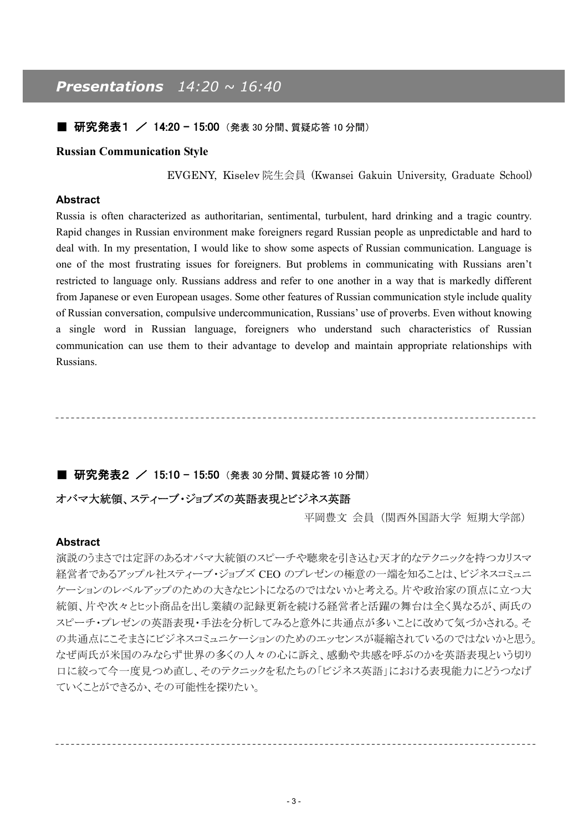## *Presentations 14:20 ~ 16:40*

#### ■ 研究発表1 / 14:20 - 15:00 (発表 30 分間、質疑応答 10 分間)

#### **Russian Communication Style**

EVGENY, Kiselev 院生会員 (Kwansei Gakuin University, Graduate School)

#### **Abstract**

Russia is often characterized as authoritarian, sentimental, turbulent, hard drinking and a tragic country. Rapid changes in Russian environment make foreigners regard Russian people as unpredictable and hard to deal with. In my presentation, I would like to show some aspects of Russian communication. Language is one of the most frustrating issues for foreigners. But problems in communicating with Russians aren't restricted to language only. Russians address and refer to one another in a way that is markedly different from Japanese or even European usages. Some other features of Russian communication style include quality of Russian conversation, compulsive undercommunication, Russians' use of proverbs. Even without knowing a single word in Russian language, foreigners who understand such characteristics of Russian communication can use them to their advantage to develop and maintain appropriate relationships with Russians.

#### ■ 研究発表2 / 15:10 - 15:50 (発表 30 分間、質疑応答 10 分間)

#### オバマ大統領、スティーブ・ジョブズの英語表現とビジネス英語

平岡豊文 会員(関西外国語大学 短期大学部)

#### **Abstract**

演説のうまさでは定評のあるオバマ大統領のスピーチや聴衆を引き込む天才的なテクニックを持つカリスマ 経営者であるアップル社スティーブ・ジョブズ CEO のプレゼンの極意の一端を知ることは、ビジネスコミュニ ケーションのレベルアップのための大きなヒントになるのではないかと考える。片や政治家の頂点に立つ大 統領、片や次々とヒット商品を出し業績の記録更新を続ける経営者と活躍の舞台は全く異なるが、両氏の スピーチ・プレゼンの英語表現・手法を分析してみると意外に共通点が多いことに改めて気づかされる。そ の共通点にこそまさにビジネスコミュニケーションのためのエッセンスが凝縮されているのではないかと思う。 なぜ両氏が米国のみならず世界の多くの人々の心に訴え、感動や共感を呼ぶのかを英語表現という切り 口に絞って今一度見つめ直し、そのテクニックを私たちの「ビジネス英語」における表現能力にどうつなげ ていくことができるか、その可能性を探りたい。